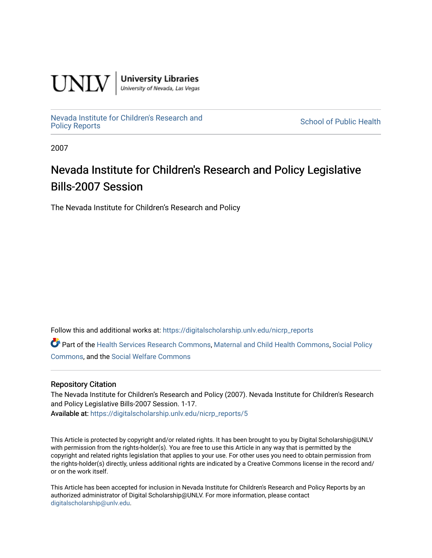

**University Libraries**<br>University of Nevada, Las Vegas

[Nevada Institute for Children's Research and](https://digitalscholarship.unlv.edu/nicrp_reports)

**School of Public Health** 

2007

## Nevada Institute for Children's Research and Policy Legislative Bills-2007 Session

The Nevada Institute for Children's Research and Policy

Follow this and additional works at: [https://digitalscholarship.unlv.edu/nicrp\\_reports](https://digitalscholarship.unlv.edu/nicrp_reports?utm_source=digitalscholarship.unlv.edu%2Fnicrp_reports%2F5&utm_medium=PDF&utm_campaign=PDFCoverPages)

Part of the [Health Services Research Commons,](http://network.bepress.com/hgg/discipline/816?utm_source=digitalscholarship.unlv.edu%2Fnicrp_reports%2F5&utm_medium=PDF&utm_campaign=PDFCoverPages) [Maternal and Child Health Commons](http://network.bepress.com/hgg/discipline/745?utm_source=digitalscholarship.unlv.edu%2Fnicrp_reports%2F5&utm_medium=PDF&utm_campaign=PDFCoverPages), [Social Policy](http://network.bepress.com/hgg/discipline/1030?utm_source=digitalscholarship.unlv.edu%2Fnicrp_reports%2F5&utm_medium=PDF&utm_campaign=PDFCoverPages)  [Commons](http://network.bepress.com/hgg/discipline/1030?utm_source=digitalscholarship.unlv.edu%2Fnicrp_reports%2F5&utm_medium=PDF&utm_campaign=PDFCoverPages), and the [Social Welfare Commons](http://network.bepress.com/hgg/discipline/401?utm_source=digitalscholarship.unlv.edu%2Fnicrp_reports%2F5&utm_medium=PDF&utm_campaign=PDFCoverPages)

## Repository Citation

The Nevada Institute for Children's Research and Policy (2007). Nevada Institute for Children's Research and Policy Legislative Bills-2007 Session. 1-17. Available at: [https://digitalscholarship.unlv.edu/nicrp\\_reports/5](https://digitalscholarship.unlv.edu/nicrp_reports/5)

This Article is protected by copyright and/or related rights. It has been brought to you by Digital Scholarship@UNLV with permission from the rights-holder(s). You are free to use this Article in any way that is permitted by the copyright and related rights legislation that applies to your use. For other uses you need to obtain permission from the rights-holder(s) directly, unless additional rights are indicated by a Creative Commons license in the record and/ or on the work itself.

This Article has been accepted for inclusion in Nevada Institute for Children's Research and Policy Reports by an authorized administrator of Digital Scholarship@UNLV. For more information, please contact [digitalscholarship@unlv.edu](mailto:digitalscholarship@unlv.edu).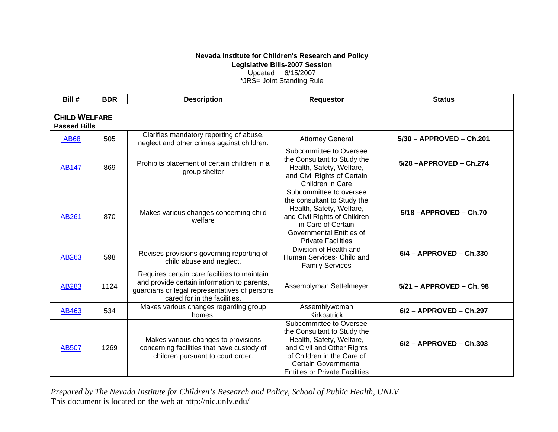## **Nevada Institute for Children's Research and Policy Legislative Bills-2007 Session**

Updated 6/15/2007

\*JRS= Joint Standing Rule

| Bill #               | <b>BDR</b> | <b>Description</b>                                                                                                                                                           | <b>Requestor</b>                                                                                                                                                                                                       | <b>Status</b>             |  |  |
|----------------------|------------|------------------------------------------------------------------------------------------------------------------------------------------------------------------------------|------------------------------------------------------------------------------------------------------------------------------------------------------------------------------------------------------------------------|---------------------------|--|--|
|                      |            |                                                                                                                                                                              |                                                                                                                                                                                                                        |                           |  |  |
| <b>CHILD WELFARE</b> |            |                                                                                                                                                                              |                                                                                                                                                                                                                        |                           |  |  |
| <b>Passed Bills</b>  |            |                                                                                                                                                                              |                                                                                                                                                                                                                        |                           |  |  |
| <b>AB68</b>          | 505        | Clarifies mandatory reporting of abuse,<br>neglect and other crimes against children.                                                                                        | <b>Attorney General</b>                                                                                                                                                                                                | 5/30 - APPROVED - Ch.201  |  |  |
| <b>AB147</b>         | 869        | Prohibits placement of certain children in a<br>group shelter                                                                                                                | Subcommittee to Oversee<br>the Consultant to Study the<br>Health, Safety, Welfare,<br>and Civil Rights of Certain<br>Children in Care                                                                                  | 5/28 - APPROVED - Ch.274  |  |  |
| AB261                | 870        | Makes various changes concerning child<br>welfare                                                                                                                            | Subcommittee to oversee<br>the consultant to Study the<br>Health, Safety, Welfare,<br>and Civil Rights of Children<br>in Care of Certain<br>Governmental Entities of<br><b>Private Facilities</b>                      | 5/18-APPROVED-Ch.70       |  |  |
| AB263                | 598        | Revises provisions governing reporting of<br>child abuse and neglect.                                                                                                        | Division of Health and<br>Human Services- Child and<br><b>Family Services</b>                                                                                                                                          | $6/4$ - APPROVED - Ch.330 |  |  |
| AB283                | 1124       | Requires certain care facilities to maintain<br>and provide certain information to parents,<br>guardians or legal representatives of persons<br>cared for in the facilities. | Assemblyman Settelmeyer                                                                                                                                                                                                | 5/21 - APPROVED - Ch. 98  |  |  |
| AB463                | 534        | Makes various changes regarding group<br>homes.                                                                                                                              | Assemblywoman<br>Kirkpatrick                                                                                                                                                                                           | 6/2 - APPROVED - Ch.297   |  |  |
| AB507                | 1269       | Makes various changes to provisions<br>concerning facilities that have custody of<br>children pursuant to court order.                                                       | Subcommittee to Oversee<br>the Consultant to Study the<br>Health, Safety, Welfare,<br>and Civil and Other Rights<br>of Children in the Care of<br><b>Certain Governmental</b><br><b>Entities or Private Facilities</b> | $6/2$ - APPROVED - Ch.303 |  |  |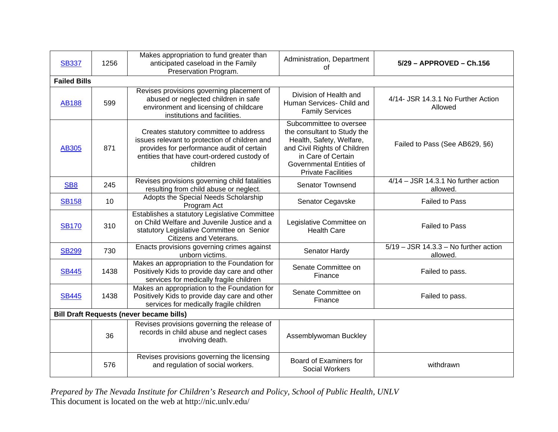| <b>SB337</b>                                    | 1256 | Makes appropriation to fund greater than<br>anticipated caseload in the Family<br>Preservation Program.                                                                                         | Administration, Department<br>of                                                                                                                                                                  | 5/29 - APPROVED - Ch.156                            |  |
|-------------------------------------------------|------|-------------------------------------------------------------------------------------------------------------------------------------------------------------------------------------------------|---------------------------------------------------------------------------------------------------------------------------------------------------------------------------------------------------|-----------------------------------------------------|--|
| <b>Failed Bills</b>                             |      |                                                                                                                                                                                                 |                                                                                                                                                                                                   |                                                     |  |
| <b>AB188</b>                                    | 599  | Revises provisions governing placement of<br>abused or neglected children in safe<br>environment and licensing of childcare<br>institutions and facilities.                                     | Division of Health and<br>Human Services- Child and<br><b>Family Services</b>                                                                                                                     | 4/14- JSR 14.3.1 No Further Action<br>Allowed       |  |
| <b>AB305</b>                                    | 871  | Creates statutory committee to address<br>issues relevant to protection of children and<br>provides for performance audit of certain<br>entities that have court-ordered custody of<br>children | Subcommittee to oversee<br>the consultant to Study the<br>Health, Safety, Welfare,<br>and Civil Rights of Children<br>in Care of Certain<br>Governmental Entities of<br><b>Private Facilities</b> | Failed to Pass (See AB629, §6)                      |  |
| SB <sub>8</sub>                                 | 245  | Revises provisions governing child fatalities<br>resulting from child abuse or neglect.                                                                                                         | <b>Senator Townsend</b>                                                                                                                                                                           | $4/14 - JSR$ 14.3.1 No further action<br>allowed.   |  |
| <b>SB158</b>                                    | 10   | Adopts the Special Needs Scholarship<br>Program Act                                                                                                                                             | Senator Cegavske                                                                                                                                                                                  | <b>Failed to Pass</b>                               |  |
| <b>SB170</b>                                    | 310  | Establishes a statutory Legislative Committee<br>on Child Welfare and Juvenile Justice and a<br>statutory Legislative Committee on Senior<br>Citizens and Veterans.                             | Legislative Committee on<br><b>Health Care</b>                                                                                                                                                    | <b>Failed to Pass</b>                               |  |
| <b>SB299</b>                                    | 730  | Enacts provisions governing crimes against<br>unborn victims.                                                                                                                                   | Senator Hardy                                                                                                                                                                                     | $5/19 - JSR$ 14.3.3 - No further action<br>allowed. |  |
| <b>SB445</b>                                    | 1438 | Makes an appropriation to the Foundation for<br>Positively Kids to provide day care and other<br>services for medically fragile children                                                        | Senate Committee on<br>Finance                                                                                                                                                                    | Failed to pass.                                     |  |
| <b>SB445</b>                                    | 1438 | Makes an appropriation to the Foundation for<br>Positively Kids to provide day care and other<br>services for medically fragile children                                                        | Senate Committee on<br>Finance                                                                                                                                                                    | Failed to pass.                                     |  |
| <b>Bill Draft Requests (never became bills)</b> |      |                                                                                                                                                                                                 |                                                                                                                                                                                                   |                                                     |  |
|                                                 | 36   | Revises provisions governing the release of<br>records in child abuse and neglect cases<br>involving death.                                                                                     | Assemblywoman Buckley                                                                                                                                                                             |                                                     |  |
|                                                 | 576  | Revises provisions governing the licensing<br>and regulation of social workers.                                                                                                                 | Board of Examiners for<br><b>Social Workers</b>                                                                                                                                                   | withdrawn                                           |  |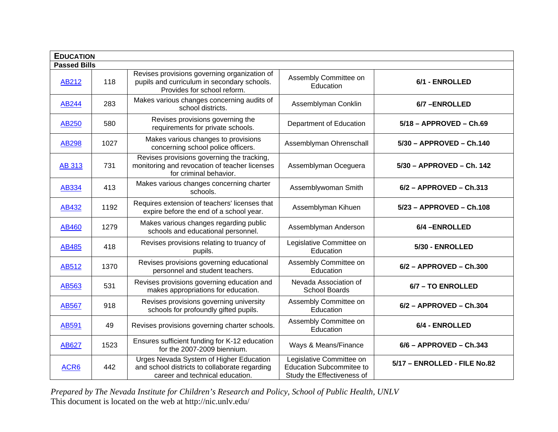| <b>EDUCATION</b>    |      |                                                                                                                             |                                                                                           |                              |  |
|---------------------|------|-----------------------------------------------------------------------------------------------------------------------------|-------------------------------------------------------------------------------------------|------------------------------|--|
| <b>Passed Bills</b> |      |                                                                                                                             |                                                                                           |                              |  |
| <b>AB212</b>        | 118  | Revises provisions governing organization of<br>pupils and curriculum in secondary schools.<br>Provides for school reform.  | Assembly Committee on<br>Education                                                        | 6/1 - ENROLLED               |  |
| <b>AB244</b>        | 283  | Makes various changes concerning audits of<br>school districts.                                                             | Assemblyman Conklin                                                                       | 6/7-ENROLLED                 |  |
| AB250               | 580  | Revises provisions governing the<br>requirements for private schools.                                                       | Department of Education                                                                   | $5/18$ - APPROVED - Ch.69    |  |
| AB298               | 1027 | Makes various changes to provisions<br>concerning school police officers.                                                   | Assemblyman Ohrenschall                                                                   | 5/30 - APPROVED - Ch.140     |  |
| <b>AB 313</b>       | 731  | Revises provisions governing the tracking,<br>monitoring and revocation of teacher licenses<br>for criminal behavior.       | Assemblyman Oceguera                                                                      | 5/30 - APPROVED - Ch. 142    |  |
| AB334               | 413  | Makes various changes concerning charter<br>schools.                                                                        | Assemblywoman Smith                                                                       | $6/2$ - APPROVED - Ch.313    |  |
| AB432               | 1192 | Requires extension of teachers' licenses that<br>expire before the end of a school year.                                    | Assemblyman Kihuen                                                                        | 5/23 - APPROVED - Ch.108     |  |
| AB460               | 1279 | Makes various changes regarding public<br>schools and educational personnel.                                                | Assemblyman Anderson                                                                      | 6/4-ENROLLED                 |  |
| AB485               | 418  | Revises provisions relating to truancy of<br>pupils.                                                                        | Legislative Committee on<br>Education                                                     | 5/30 - ENROLLED              |  |
| AB512               | 1370 | Revises provisions governing educational<br>personnel and student teachers.                                                 | Assembly Committee on<br>Education                                                        | $6/2$ - APPROVED - Ch.300    |  |
| AB <sub>563</sub>   | 531  | Revises provisions governing education and<br>makes appropriations for education.                                           | Nevada Association of<br><b>School Boards</b>                                             | 6/7 - TO ENROLLED            |  |
| AB567               | 918  | Revises provisions governing university<br>schools for profoundly gifted pupils.                                            | Assembly Committee on<br>Education                                                        | $6/2$ - APPROVED - Ch.304    |  |
| AB591               | 49   | Revises provisions governing charter schools.                                                                               | Assembly Committee on<br>Education                                                        | 6/4 - ENROLLED               |  |
| AB627               | 1523 | Ensures sufficient funding for K-12 education<br>for the 2007-2009 biennium.                                                | Ways & Means/Finance                                                                      | 6/6 - APPROVED - Ch.343      |  |
| ACR6                | 442  | Urges Nevada System of Higher Education<br>and school districts to collaborate regarding<br>career and technical education. | Legislative Committee on<br><b>Education Subcommitee to</b><br>Study the Effectiveness of | 5/17 - ENROLLED - FILE No.82 |  |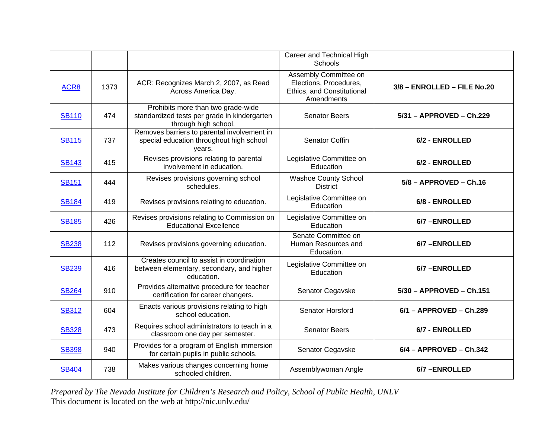|              |      |                                                                                                            | Career and Technical High<br>Schools                                                        |                             |
|--------------|------|------------------------------------------------------------------------------------------------------------|---------------------------------------------------------------------------------------------|-----------------------------|
| ACR8         | 1373 | ACR: Recognizes March 2, 2007, as Read<br>Across America Day.                                              | Assembly Committee on<br>Elections, Procedures,<br>Ethics, and Constitutional<br>Amendments | 3/8 - ENROLLED - FILE No.20 |
| <b>SB110</b> | 474  | Prohibits more than two grade-wide<br>standardized tests per grade in kindergarten<br>through high school. | <b>Senator Beers</b>                                                                        | 5/31 - APPROVED - Ch.229    |
| <b>SB115</b> | 737  | Removes barriers to parental involvement in<br>special education throughout high school<br>vears.          | Senator Coffin                                                                              | 6/2 - ENROLLED              |
| <b>SB143</b> | 415  | Revises provisions relating to parental<br>involvement in education.                                       | Legislative Committee on<br>Education                                                       | 6/2 - ENROLLED              |
| <b>SB151</b> | 444  | Revises provisions governing school<br>schedules.                                                          | <b>Washoe County School</b><br><b>District</b>                                              | $5/8$ - APPROVED - Ch.16    |
| <b>SB184</b> | 419  | Revises provisions relating to education.                                                                  | Legislative Committee on<br>Education                                                       | 6/8 - ENROLLED              |
| <b>SB185</b> | 426  | Revises provisions relating to Commission on<br><b>Educational Excellence</b>                              | Legislative Committee on<br>Education                                                       | 6/7-ENROLLED                |
| <b>SB238</b> | 112  | Revises provisions governing education.                                                                    | Senate Committee on<br>Human Resources and<br>Education.                                    | 6/7-ENROLLED                |
| <b>SB239</b> | 416  | Creates council to assist in coordination<br>between elementary, secondary, and higher<br>education.       | Legislative Committee on<br>Education                                                       | 6/7-ENROLLED                |
| <b>SB264</b> | 910  | Provides alternative procedure for teacher<br>certification for career changers.                           | Senator Cegavske                                                                            | 5/30 - APPROVED - Ch.151    |
| <b>SB312</b> | 604  | Enacts various provisions relating to high<br>school education.                                            | Senator Horsford                                                                            | $6/1 - APPROVED - Ch.289$   |
| <b>SB328</b> | 473  | Requires school administrators to teach in a<br>classroom one day per semester.                            | <b>Senator Beers</b>                                                                        | 6/7 - ENROLLED              |
| <b>SB398</b> | 940  | Provides for a program of English immersion<br>for certain pupils in public schools.                       | Senator Cegavske                                                                            | $6/4$ - APPROVED - Ch.342   |
| <b>SB404</b> | 738  | Makes various changes concerning home<br>schooled children.                                                | Assemblywoman Angle                                                                         | 6/7-ENROLLED                |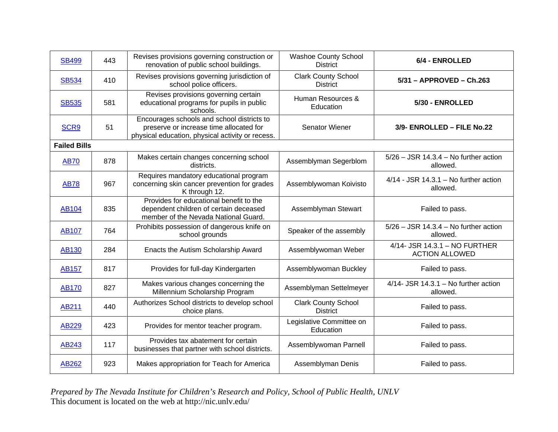| <b>SB499</b>        | 443 | Revises provisions governing construction or<br>renovation of public school buildings.                                                    | <b>Washoe County School</b><br><b>District</b> | 6/4 - ENROLLED                                         |
|---------------------|-----|-------------------------------------------------------------------------------------------------------------------------------------------|------------------------------------------------|--------------------------------------------------------|
| <b>SB534</b>        | 410 | Revises provisions governing jurisdiction of<br>school police officers.                                                                   | <b>Clark County School</b><br><b>District</b>  | 5/31 - APPROVED - Ch.263                               |
| <b>SB535</b>        | 581 | Revises provisions governing certain<br>educational programs for pupils in public<br>schools.                                             | Human Resources &<br>Education                 | 5/30 - ENROLLED                                        |
| SCR9                | 51  | Encourages schools and school districts to<br>preserve or increase time allocated for<br>physical education, physical activity or recess. | Senator Wiener                                 | 3/9- ENROLLED - FILE No.22                             |
| <b>Failed Bills</b> |     |                                                                                                                                           |                                                |                                                        |
| <b>AB70</b>         | 878 | Makes certain changes concerning school<br>districts.                                                                                     | Assemblyman Segerblom                          | $5/26 - JSR$ 14.3.4 – No further action<br>allowed.    |
| <b>AB78</b>         | 967 | Requires mandatory educational program<br>concerning skin cancer prevention for grades<br>K through 12.                                   | Assemblywoman Koivisto                         | $4/14$ - JSR 14.3.1 – No further action<br>allowed.    |
| <b>AB104</b>        | 835 | Provides for educational benefit to the<br>dependent children of certain deceased<br>member of the Nevada National Guard.                 | Assemblyman Stewart                            | Failed to pass.                                        |
| <b>AB107</b>        | 764 | Prohibits possession of dangerous knife on<br>school grounds                                                                              | Speaker of the assembly                        | $5/26 - JSR$ 14.3.4 - No further action<br>allowed.    |
| <b>AB130</b>        | 284 | Enacts the Autism Scholarship Award                                                                                                       | Assemblywoman Weber                            | 4/14- JSR 14.3.1 - NO FURTHER<br><b>ACTION ALLOWED</b> |
| <b>AB157</b>        | 817 | Provides for full-day Kindergarten                                                                                                        | Assemblywoman Buckley                          | Failed to pass.                                        |
| <b>AB170</b>        | 827 | Makes various changes concerning the<br>Millennium Scholarship Program                                                                    | Assemblyman Settelmeyer                        | $4/14$ - JSR 14.3.1 – No further action<br>allowed.    |
| AB211               | 440 | Authorizes School districts to develop school<br>choice plans.                                                                            | <b>Clark County School</b><br><b>District</b>  | Failed to pass.                                        |
| AB229               | 423 | Provides for mentor teacher program.                                                                                                      | Legislative Committee on<br>Education          | Failed to pass.                                        |
| AB243               | 117 | Provides tax abatement for certain<br>businesses that partner with school districts.                                                      | Assemblywoman Parnell                          | Failed to pass.                                        |
| AB262               | 923 | Makes appropriation for Teach for America                                                                                                 | Assemblyman Denis                              | Failed to pass.                                        |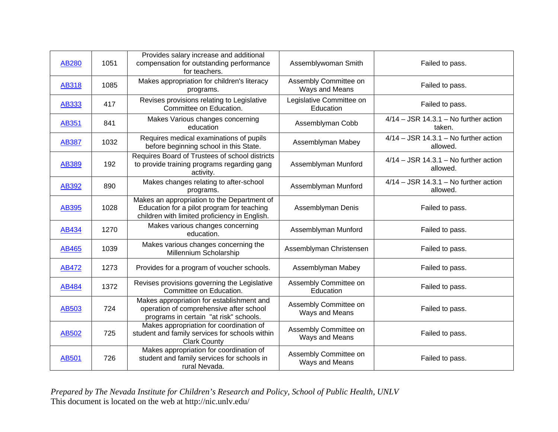| <b>AB280</b> | 1051 | Provides salary increase and additional<br>compensation for outstanding performance<br>for teachers.                                       | Assemblywoman Smith                     | Failed to pass.                                     |
|--------------|------|--------------------------------------------------------------------------------------------------------------------------------------------|-----------------------------------------|-----------------------------------------------------|
| <b>AB318</b> | 1085 | Makes appropriation for children's literacy<br>programs.                                                                                   | Assembly Committee on<br>Ways and Means | Failed to pass.                                     |
| AB333        | 417  | Revises provisions relating to Legislative<br>Committee on Education.                                                                      | Legislative Committee on<br>Education   | Failed to pass.                                     |
| AB351        | 841  | Makes Various changes concerning<br>education                                                                                              | Assemblyman Cobb                        | $4/14 - JSR$ 14.3.1 – No further action<br>taken.   |
| <b>AB387</b> | 1032 | Requires medical examinations of pupils<br>before beginning school in this State.                                                          | Assemblyman Mabey                       | $4/14 - JSR$ 14.3.1 – No further action<br>allowed. |
| AB389        | 192  | Requires Board of Trustees of school districts<br>to provide training programs regarding gang<br>activity.                                 | Assemblyman Munford                     | $4/14 - JSR$ 14.3.1 – No further action<br>allowed. |
| <b>AB392</b> | 890  | Makes changes relating to after-school<br>programs.                                                                                        | Assemblyman Munford                     | $4/14 - JSR$ 14.3.1 – No further action<br>allowed. |
| AB395        | 1028 | Makes an appropriation to the Department of<br>Education for a pilot program for teaching<br>children with limited proficiency in English. | Assemblyman Denis                       | Failed to pass.                                     |
| AB434        | 1270 | Makes various changes concerning<br>education.                                                                                             | Assemblyman Munford                     | Failed to pass.                                     |
| AB465        | 1039 | Makes various changes concerning the<br>Millennium Scholarship                                                                             | Assemblyman Christensen                 | Failed to pass.                                     |
| AB472        | 1273 | Provides for a program of voucher schools.                                                                                                 | Assemblyman Mabey                       | Failed to pass.                                     |
| <b>AB484</b> | 1372 | Revises provisions governing the Legislative<br>Committee on Education.                                                                    | Assembly Committee on<br>Education      | Failed to pass.                                     |
| AB503        | 724  | Makes appropriation for establishment and<br>operation of comprehensive after school<br>programs in certain "at risk" schools.             | Assembly Committee on<br>Ways and Means | Failed to pass.                                     |
| AB502        | 725  | Makes appropriation for coordination of<br>student and family services for schools within<br><b>Clark County</b>                           | Assembly Committee on<br>Ways and Means | Failed to pass.                                     |
| <b>AB501</b> | 726  | Makes appropriation for coordination of<br>student and family services for schools in<br>rural Nevada.                                     | Assembly Committee on<br>Ways and Means | Failed to pass.                                     |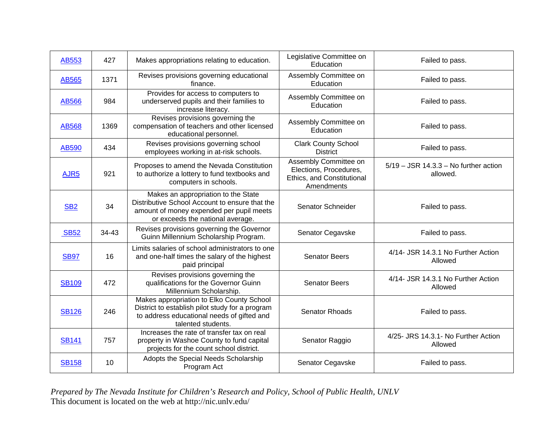| AB553            | 427   | Makes appropriations relating to education.                                                                                                                           | Legislative Committee on<br>Education                                                       | Failed to pass.                                     |
|------------------|-------|-----------------------------------------------------------------------------------------------------------------------------------------------------------------------|---------------------------------------------------------------------------------------------|-----------------------------------------------------|
| <b>AB565</b>     | 1371  | Revises provisions governing educational<br>finance.                                                                                                                  | Assembly Committee on<br>Education                                                          | Failed to pass.                                     |
| <b>AB566</b>     | 984   | Provides for access to computers to<br>underserved pupils and their families to<br>increase literacy.                                                                 | Assembly Committee on<br>Education                                                          | Failed to pass.                                     |
| <b>AB568</b>     | 1369  | Revises provisions governing the<br>compensation of teachers and other licensed<br>educational personnel.                                                             | Assembly Committee on<br>Education                                                          | Failed to pass.                                     |
| AB590            | 434   | Revises provisions governing school<br>employees working in at-risk schools.                                                                                          | <b>Clark County School</b><br><b>District</b>                                               | Failed to pass.                                     |
| AJR <sub>5</sub> | 921   | Proposes to amend the Nevada Constitution<br>to authorize a lottery to fund textbooks and<br>computers in schools.                                                    | Assembly Committee on<br>Elections, Procedures,<br>Ethics, and Constitutional<br>Amendments | $5/19$ – JSR 14.3.3 – No further action<br>allowed. |
| SB <sub>2</sub>  | 34    | Makes an appropriation to the State<br>Distributive School Account to ensure that the<br>amount of money expended per pupil meets<br>or exceeds the national average. | Senator Schneider                                                                           | Failed to pass.                                     |
| <b>SB52</b>      | 34-43 | Revises provisions governing the Governor<br>Guinn Millennium Scholarship Program.                                                                                    | Senator Cegavske                                                                            | Failed to pass.                                     |
| <b>SB97</b>      | 16    | Limits salaries of school administrators to one<br>and one-half times the salary of the highest<br>paid principal                                                     | <b>Senator Beers</b>                                                                        | 4/14- JSR 14.3.1 No Further Action<br>Allowed       |
| <b>SB109</b>     | 472   | Revises provisions governing the<br>qualifications for the Governor Guinn<br>Millennium Scholarship.                                                                  | <b>Senator Beers</b>                                                                        | 4/14- JSR 14.3.1 No Further Action<br>Allowed       |
| <b>SB126</b>     | 246   | Makes appropriation to Elko County School<br>District to establish pilot study for a program<br>to address educational needs of gifted and<br>talented students.      | <b>Senator Rhoads</b>                                                                       | Failed to pass.                                     |
| <b>SB141</b>     | 757   | Increases the rate of transfer tax on real<br>property in Washoe County to fund capital<br>projects for the count school district.                                    | Senator Raggio                                                                              | 4/25- JRS 14.3.1- No Further Action<br>Allowed      |
| <b>SB158</b>     | 10    | Adopts the Special Needs Scholarship<br>Program Act                                                                                                                   | Senator Cegavske                                                                            | Failed to pass.                                     |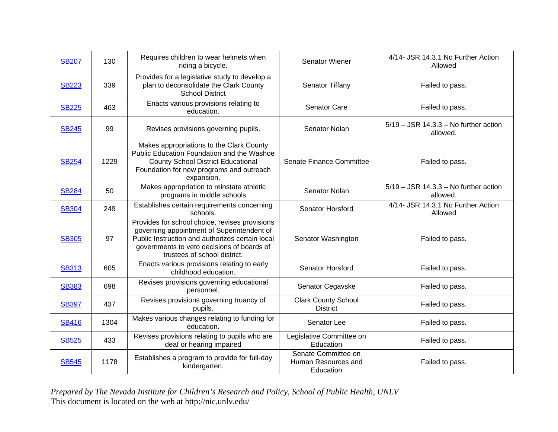| <b>SB207</b> | 130  | Requires children to wear helmets when<br>riding a bicycle.                                                                                                                                                                   | <b>Senator Wiener</b>                                   | 4/14- JSR 14.3.1 No Further Action<br>Allowed       |
|--------------|------|-------------------------------------------------------------------------------------------------------------------------------------------------------------------------------------------------------------------------------|---------------------------------------------------------|-----------------------------------------------------|
| <b>SB223</b> | 339  | Provides for a legislative study to develop a<br>plan to deconsolidate the Clark County<br><b>School District</b>                                                                                                             | Senator Tiffany                                         | Failed to pass.                                     |
| <b>SB225</b> | 463  | Enacts various provisions relating to<br>education.                                                                                                                                                                           | Senator Care                                            | Failed to pass.                                     |
| <b>SB245</b> | 99   | Revises provisions governing pupils.                                                                                                                                                                                          | Senator Nolan                                           | $5/19$ – JSR 14.3.3 – No further action<br>allowed. |
| <b>SB254</b> | 1229 | Makes appropriations to the Clark County<br>Public Education Foundation and the Washoe<br><b>County School District Educational</b><br>Foundation for new programs and outreach<br>expansion.                                 | Senate Finance Committee                                | Failed to pass.                                     |
| <b>SB284</b> | 50   | Makes appropriation to reinstate athletic<br>programs in middle schools                                                                                                                                                       | Senator Nolan                                           | $5/19 - JSR$ 14.3.3 - No further action<br>allowed. |
| <b>SB304</b> | 249  | Establishes certain requirements concerning<br>schools.                                                                                                                                                                       | Senator Horsford                                        | 4/14- JSR 14.3.1 No Further Action<br>Allowed       |
| <b>SB305</b> | 97   | Provides for school choice, revises provisions<br>governing appointment of Superintendent of<br>Public Instruction and authorizes certain local<br>governments to veto decisions of boards of<br>trustees of school district. | Senator Washington                                      | Failed to pass.                                     |
| <b>SB313</b> | 605  | Enacts various provisions relating to early<br>childhood education.                                                                                                                                                           | <b>Senator Horsford</b>                                 | Failed to pass.                                     |
| <b>SB383</b> | 698  | Revises provisions governing educational<br>personnel.                                                                                                                                                                        | Senator Cegavske                                        | Failed to pass.                                     |
| <b>SB397</b> | 437  | Revises provisions governing truancy of<br>pupils.                                                                                                                                                                            | <b>Clark County School</b><br><b>District</b>           | Failed to pass.                                     |
| <b>SB416</b> | 1304 | Makes various changes relating to funding for<br>education.                                                                                                                                                                   | Senator Lee                                             | Failed to pass.                                     |
| <b>SB525</b> | 433  | Revises provisions relating to pupils who are<br>deaf or hearing impaired                                                                                                                                                     | Legislative Committee on<br>Education                   | Failed to pass.                                     |
| <b>SB545</b> | 1178 | Establishes a program to provide for full-day<br>kindergarten.                                                                                                                                                                | Senate Committee on<br>Human Resources and<br>Education | Failed to pass.                                     |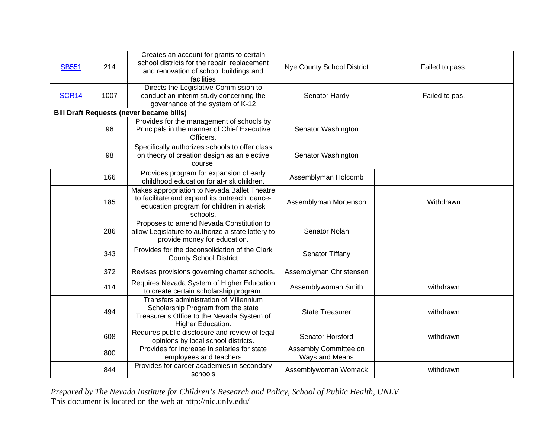| <b>SB551</b> | 214  | Creates an account for grants to certain<br>school districts for the repair, replacement<br>and renovation of school buildings and<br>facilities       | Nye County School District              | Failed to pass. |
|--------------|------|--------------------------------------------------------------------------------------------------------------------------------------------------------|-----------------------------------------|-----------------|
| <b>SCR14</b> | 1007 | Directs the Legislative Commission to<br>conduct an interim study concerning the<br>governance of the system of K-12                                   | Senator Hardy                           | Failed to pas.  |
|              |      | <b>Bill Draft Requests (never became bills)</b>                                                                                                        |                                         |                 |
|              | 96   | Provides for the management of schools by<br>Principals in the manner of Chief Executive<br>Officers.                                                  | Senator Washington                      |                 |
|              | 98   | Specifically authorizes schools to offer class<br>on theory of creation design as an elective<br>course.                                               | Senator Washington                      |                 |
|              | 166  | Provides program for expansion of early<br>childhood education for at-risk children.                                                                   | Assemblyman Holcomb                     |                 |
|              | 185  | Makes appropriation to Nevada Ballet Theatre<br>to facilitate and expand its outreach, dance-<br>education program for children in at-risk<br>schools. | Assemblyman Mortenson                   | Withdrawn       |
|              | 286  | Proposes to amend Nevada Constitution to<br>allow Legislature to authorize a state lottery to<br>provide money for education.                          | Senator Nolan                           |                 |
|              | 343  | Provides for the deconsolidation of the Clark<br><b>County School District</b>                                                                         | Senator Tiffany                         |                 |
|              | 372  | Revises provisions governing charter schools.                                                                                                          | Assemblyman Christensen                 |                 |
|              | 414  | Requires Nevada System of Higher Education<br>to create certain scholarship program.                                                                   | Assemblywoman Smith                     | withdrawn       |
|              | 494  | Transfers administration of Millennium<br>Scholarship Program from the state<br>Treasurer's Office to the Nevada System of<br>Higher Education.        | <b>State Treasurer</b>                  | withdrawn       |
|              | 608  | Requires public disclosure and review of legal<br>opinions by local school districts.                                                                  | Senator Horsford                        | withdrawn       |
|              | 800  | Provides for increase in salaries for state<br>employees and teachers                                                                                  | Assembly Committee on<br>Ways and Means |                 |
|              | 844  | Provides for career academies in secondary<br>schools                                                                                                  | Assemblywoman Womack                    | withdrawn       |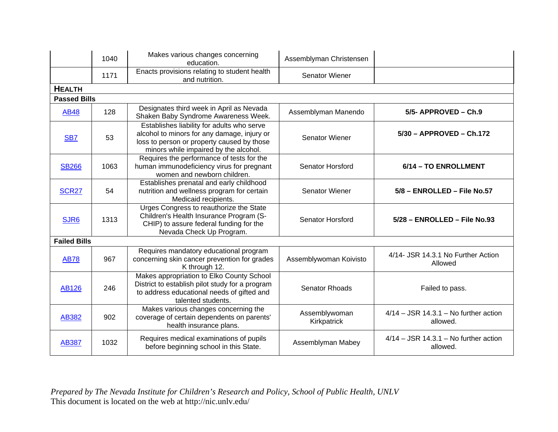|                     | 1040 | Makes various changes concerning<br>education.                                                                                                                                   | Assemblyman Christensen      |                                                     |
|---------------------|------|----------------------------------------------------------------------------------------------------------------------------------------------------------------------------------|------------------------------|-----------------------------------------------------|
|                     | 1171 | Enacts provisions relating to student health<br>and nutrition.                                                                                                                   | Senator Wiener               |                                                     |
| <b>HEALTH</b>       |      |                                                                                                                                                                                  |                              |                                                     |
| <b>Passed Bills</b> |      |                                                                                                                                                                                  |                              |                                                     |
| <b>AB48</b>         | 128  | Designates third week in April as Nevada<br>Shaken Baby Syndrome Awareness Week.                                                                                                 | Assemblyman Manendo          | 5/5- APPROVED - Ch.9                                |
| SB <sub>7</sub>     | 53   | Establishes liability for adults who serve<br>alcohol to minors for any damage, injury or<br>loss to person or property caused by those<br>minors while impaired by the alcohol. | Senator Wiener               | 5/30 - APPROVED - Ch.172                            |
| <b>SB266</b>        | 1063 | Requires the performance of tests for the<br>human immunodeficiency virus for pregnant<br>women and newborn children.                                                            | <b>Senator Horsford</b>      | 6/14 - TO ENROLLMENT                                |
| <b>SCR27</b>        | 54   | Establishes prenatal and early childhood<br>nutrition and wellness program for certain<br>Medicaid recipients.                                                                   | <b>Senator Wiener</b>        | 5/8 - ENROLLED - File No.57                         |
| SJR6                | 1313 | Urges Congress to reauthorize the State<br>Children's Health Insurance Program (S-<br>CHIP) to assure federal funding for the<br>Nevada Check Up Program.                        | Senator Horsford             | 5/28 - ENROLLED - File No.93                        |
| <b>Failed Bills</b> |      |                                                                                                                                                                                  |                              |                                                     |
| <b>AB78</b>         | 967  | Requires mandatory educational program<br>concerning skin cancer prevention for grades<br>K through 12.                                                                          | Assemblywoman Koivisto       | 4/14- JSR 14.3.1 No Further Action<br>Allowed       |
| <b>AB126</b>        | 246  | Makes appropriation to Elko County School<br>District to establish pilot study for a program<br>to address educational needs of gifted and<br>talented students.                 | Senator Rhoads               | Failed to pass.                                     |
| AB382               | 902  | Makes various changes concerning the<br>coverage of certain dependents on parents'<br>health insurance plans.                                                                    | Assemblywoman<br>Kirkpatrick | $4/14 - JSR$ 14.3.1 – No further action<br>allowed. |
| <b>AB387</b>        | 1032 | Requires medical examinations of pupils<br>before beginning school in this State.                                                                                                | Assemblyman Mabey            | $4/14 - JSR$ 14.3.1 – No further action<br>allowed. |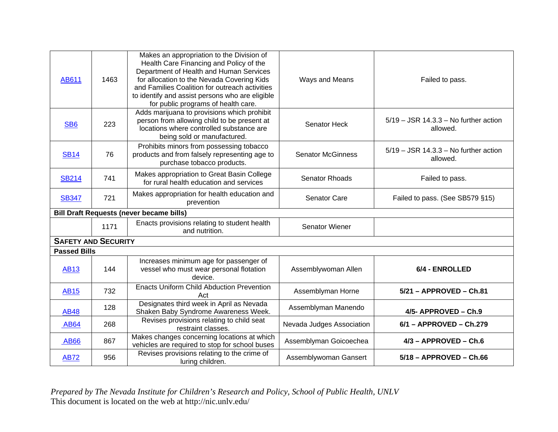| AB611                      | 1463 | Makes an appropriation to the Division of<br>Health Care Financing and Policy of the<br>Department of Health and Human Services<br>for allocation to the Nevada Covering Kids<br>and Families Coalition for outreach activities<br>to identify and assist persons who are eligible<br>for public programs of health care. | Ways and Means            | Failed to pass.                                     |
|----------------------------|------|---------------------------------------------------------------------------------------------------------------------------------------------------------------------------------------------------------------------------------------------------------------------------------------------------------------------------|---------------------------|-----------------------------------------------------|
| SB <sub>6</sub>            | 223  | Adds marijuana to provisions which prohibit<br>person from allowing child to be present at<br>locations where controlled substance are<br>being sold or manufactured.                                                                                                                                                     | Senator Heck              | $5/19$ – JSR 14.3.3 – No further action<br>allowed. |
| <b>SB14</b>                | 76   | Prohibits minors from possessing tobacco<br>products and from falsely representing age to<br>purchase tobacco products.                                                                                                                                                                                                   | <b>Senator McGinness</b>  | $5/19 - JSR$ 14.3.3 – No further action<br>allowed. |
| <b>SB214</b>               | 741  | Makes appropriation to Great Basin College<br>for rural health education and services                                                                                                                                                                                                                                     | <b>Senator Rhoads</b>     | Failed to pass.                                     |
| <b>SB347</b>               | 721  | Makes appropriation for health education and<br>prevention                                                                                                                                                                                                                                                                | Senator Care              | Failed to pass. (See SB579 §15)                     |
|                            |      | <b>Bill Draft Requests (never became bills)</b>                                                                                                                                                                                                                                                                           |                           |                                                     |
|                            | 1171 | Enacts provisions relating to student health<br>and nutrition.                                                                                                                                                                                                                                                            | Senator Wiener            |                                                     |
| <b>SAFETY AND SECURITY</b> |      |                                                                                                                                                                                                                                                                                                                           |                           |                                                     |
| <b>Passed Bills</b>        |      |                                                                                                                                                                                                                                                                                                                           |                           |                                                     |
| <b>AB13</b>                | 144  | Increases minimum age for passenger of<br>vessel who must wear personal flotation<br>device.                                                                                                                                                                                                                              | Assemblywoman Allen       | 6/4 - ENROLLED                                      |
| <b>AB15</b>                | 732  | <b>Enacts Uniform Child Abduction Prevention</b><br>Act                                                                                                                                                                                                                                                                   | Assemblyman Horne         | 5/21 - APPROVED - Ch.81                             |
| <b>AB48</b>                | 128  | Designates third week in April as Nevada<br>Shaken Baby Syndrome Awareness Week.                                                                                                                                                                                                                                          | Assemblyman Manendo       | 4/5- APPROVED - Ch.9                                |
| <b>AB64</b>                | 268  | Revises provisions relating to child seat<br>restraint classes.                                                                                                                                                                                                                                                           | Nevada Judges Association | $6/1 - APPROVED - Ch.279$                           |
| <b>AB66</b>                | 867  | Makes changes concerning locations at which<br>vehicles are required to stop for school buses                                                                                                                                                                                                                             | Assemblyman Goicoechea    | 4/3 - APPROVED - Ch.6                               |
| <b>AB72</b>                | 956  | Revises provisions relating to the crime of<br>luring children.                                                                                                                                                                                                                                                           | Assemblywoman Gansert     | $5/18$ - APPROVED - Ch.66                           |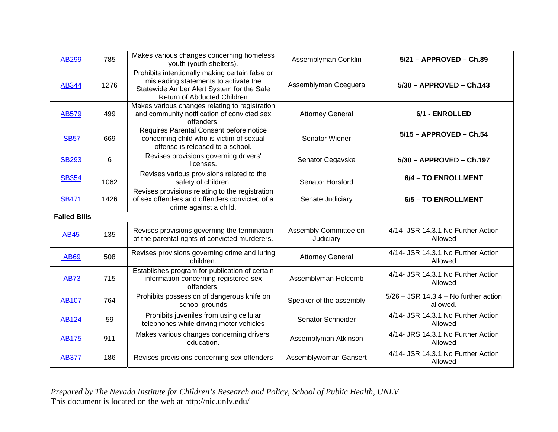| AB299               | 785  | Makes various changes concerning homeless<br>youth (youth shelters).                                                                                                 | Assemblyman Conklin                | $5/21 - APPROVED - Ch.89$                           |
|---------------------|------|----------------------------------------------------------------------------------------------------------------------------------------------------------------------|------------------------------------|-----------------------------------------------------|
| AB344               | 1276 | Prohibits intentionally making certain false or<br>misleading statements to activate the<br>Statewide Amber Alert System for the Safe<br>Return of Abducted Children | Assemblyman Oceguera               | 5/30 - APPROVED - Ch.143                            |
| AB579               | 499  | Makes various changes relating to registration<br>and community notification of convicted sex<br>offenders.                                                          | <b>Attorney General</b>            | 6/1 - ENROLLED                                      |
| <b>SB57</b>         | 669  | Requires Parental Consent before notice<br>concerning child who is victim of sexual<br>offense is released to a school.                                              | Senator Wiener                     | 5/15 - APPROVED - Ch.54                             |
| <b>SB293</b>        | 6    | Revises provisions governing drivers'<br>licenses.                                                                                                                   | Senator Cegavske                   | 5/30 - APPROVED - Ch.197                            |
| <b>SB354</b>        | 1062 | Revises various provisions related to the<br>safety of children.                                                                                                     | Senator Horsford                   | 6/4 - TO ENROLLMENT                                 |
| <b>SB471</b>        | 1426 | Revises provisions relating to the registration<br>of sex offenders and offenders convicted of a<br>crime against a child.                                           | Senate Judiciary                   | 6/5 - TO ENROLLMENT                                 |
| <b>Failed Bills</b> |      |                                                                                                                                                                      |                                    |                                                     |
| <b>AB45</b>         | 135  | Revises provisions governing the termination<br>of the parental rights of convicted murderers.                                                                       | Assembly Committee on<br>Judiciary | 4/14- JSR 14.3.1 No Further Action<br>Allowed       |
| <b>AB69</b>         | 508  | Revises provisions governing crime and luring<br>children.                                                                                                           | <b>Attorney General</b>            | 4/14- JSR 14.3.1 No Further Action<br>Allowed       |
| <b>AB73</b>         | 715  | Establishes program for publication of certain<br>information concerning registered sex<br>offenders.                                                                | Assemblyman Holcomb                | 4/14- JSR 14.3.1 No Further Action<br>Allowed       |
| <b>AB107</b>        | 764  | Prohibits possession of dangerous knife on<br>school grounds                                                                                                         | Speaker of the assembly            | $5/26 - JSR$ 14.3.4 – No further action<br>allowed. |
| AB124               | 59   | Prohibits juveniles from using cellular<br>telephones while driving motor vehicles                                                                                   | Senator Schneider                  | 4/14- JSR 14.3.1 No Further Action<br>Allowed       |
| <b>AB175</b>        | 911  | Makes various changes concerning drivers'<br>education.                                                                                                              | Assemblyman Atkinson               | 4/14- JRS 14.3.1 No Further Action<br>Allowed       |
| <b>AB377</b>        | 186  | Revises provisions concerning sex offenders                                                                                                                          | Assemblywoman Gansert              | 4/14- JSR 14.3.1 No Further Action<br>Allowed       |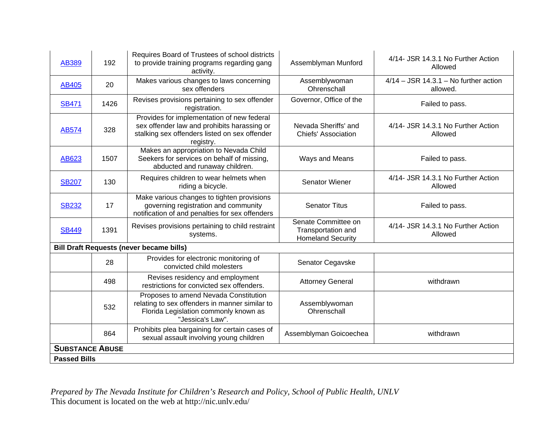| AB389                  | 192  | Requires Board of Trustees of school districts<br>to provide training programs regarding gang<br>activity.                                              | Assemblyman Munford                                                   | 4/14- JSR 14.3.1 No Further Action<br>Allowed       |
|------------------------|------|---------------------------------------------------------------------------------------------------------------------------------------------------------|-----------------------------------------------------------------------|-----------------------------------------------------|
| AB405                  | 20   | Makes various changes to laws concerning<br>sex offenders                                                                                               | Assemblywoman<br>Ohrenschall                                          | $4/14 - JSR$ 14.3.1 – No further action<br>allowed. |
| <b>SB471</b>           | 1426 | Revises provisions pertaining to sex offender<br>registration.                                                                                          | Governor, Office of the                                               | Failed to pass.                                     |
| AB574                  | 328  | Provides for implementation of new federal<br>sex offender law and prohibits harassing or<br>stalking sex offenders listed on sex offender<br>registry. | Nevada Sheriffs' and<br><b>Chiefs' Association</b>                    | 4/14- JSR 14.3.1 No Further Action<br>Allowed       |
| AB623                  | 1507 | Makes an appropriation to Nevada Child<br>Seekers for services on behalf of missing,<br>abducted and runaway children.                                  | Ways and Means                                                        | Failed to pass.                                     |
| <b>SB207</b>           | 130  | Requires children to wear helmets when<br>riding a bicycle.                                                                                             | <b>Senator Wiener</b>                                                 | 4/14- JSR 14.3.1 No Further Action<br>Allowed       |
| <b>SB232</b>           | 17   | Make various changes to tighten provisions<br>governing registration and community<br>notification of and penalties for sex offenders                   | <b>Senator Titus</b>                                                  | Failed to pass.                                     |
| <b>SB449</b>           | 1391 | Revises provisions pertaining to child restraint<br>systems.                                                                                            | Senate Committee on<br>Transportation and<br><b>Homeland Security</b> | 4/14- JSR 14.3.1 No Further Action<br>Allowed       |
|                        |      | <b>Bill Draft Requests (never became bills)</b>                                                                                                         |                                                                       |                                                     |
|                        | 28   | Provides for electronic monitoring of<br>convicted child molesters                                                                                      | Senator Cegavske                                                      |                                                     |
|                        | 498  | Revises residency and employment<br>restrictions for convicted sex offenders.                                                                           | <b>Attorney General</b>                                               | withdrawn                                           |
|                        | 532  | Proposes to amend Nevada Constitution<br>relating to sex offenders in manner similar to<br>Florida Legislation commonly known as<br>"Jessica's Law".    | Assemblywoman<br>Ohrenschall                                          |                                                     |
|                        | 864  | Prohibits plea bargaining for certain cases of<br>sexual assault involving young children                                                               | Assemblyman Goicoechea                                                | withdrawn                                           |
| <b>SUBSTANCE ABUSE</b> |      |                                                                                                                                                         |                                                                       |                                                     |
| <b>Passed Bills</b>    |      |                                                                                                                                                         |                                                                       |                                                     |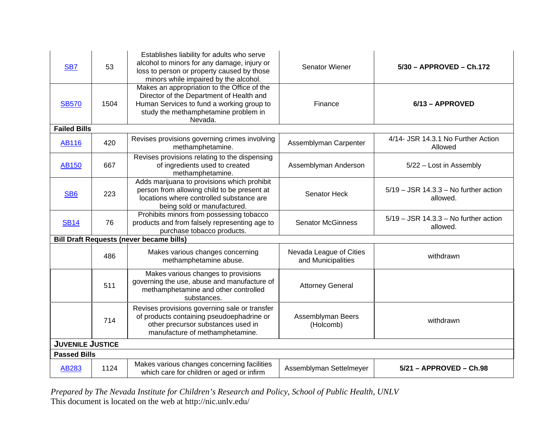| SB <sub>7</sub>         | 53   | Establishes liability for adults who serve<br>alcohol to minors for any damage, injury or<br>loss to person or property caused by those<br>minors while impaired by the alcohol.        | Senator Wiener                                | 5/30 - APPROVED - Ch.172                            |
|-------------------------|------|-----------------------------------------------------------------------------------------------------------------------------------------------------------------------------------------|-----------------------------------------------|-----------------------------------------------------|
| <b>SB570</b>            | 1504 | Makes an appropriation to the Office of the<br>Director of the Department of Health and<br>Human Services to fund a working group to<br>study the methamphetamine problem in<br>Nevada. | Finance                                       | 6/13 - APPROVED                                     |
| <b>Failed Bills</b>     |      |                                                                                                                                                                                         |                                               |                                                     |
| <b>AB116</b>            | 420  | Revises provisions governing crimes involving<br>methamphetamine.                                                                                                                       | Assemblyman Carpenter                         | 4/14- JSR 14.3.1 No Further Action<br>Allowed       |
| <b>AB150</b>            | 667  | Revises provisions relating to the dispensing<br>of ingredients used to created<br>methamphetamine.                                                                                     | Assemblyman Anderson                          | 5/22 - Lost in Assembly                             |
| SB <sub>6</sub>         | 223  | Adds marijuana to provisions which prohibit<br>person from allowing child to be present at<br>locations where controlled substance are<br>being sold or manufactured.                   | Senator Heck                                  | $5/19$ – JSR 14.3.3 – No further action<br>allowed. |
| <b>SB14</b>             | 76   | Prohibits minors from possessing tobacco<br>products and from falsely representing age to<br>purchase tobacco products.                                                                 | <b>Senator McGinness</b>                      | $5/19 - JSR$ 14.3.3 - No further action<br>allowed. |
|                         |      | <b>Bill Draft Requests (never became bills)</b>                                                                                                                                         |                                               |                                                     |
|                         | 486  | Makes various changes concerning<br>methamphetamine abuse.                                                                                                                              | Nevada League of Cities<br>and Municipalities | withdrawn                                           |
|                         | 511  | Makes various changes to provisions<br>governing the use, abuse and manufacture of<br>methamphetamine and other controlled<br>substances.                                               | <b>Attorney General</b>                       |                                                     |
|                         | 714  | Revises provisions governing sale or transfer<br>of products containing pseudoephadrine or<br>other precursor substances used in<br>manufacture of methamphetamine.                     | Assemblyman Beers<br>(Holcomb)                | withdrawn                                           |
| <b>JUVENILE JUSTICE</b> |      |                                                                                                                                                                                         |                                               |                                                     |
| <b>Passed Bills</b>     |      |                                                                                                                                                                                         |                                               |                                                     |
| AB283                   | 1124 | Makes various changes concerning facilities<br>which care for children or aged or infirm                                                                                                | Assemblyman Settelmeyer                       | 5/21 - APPROVED - Ch.98                             |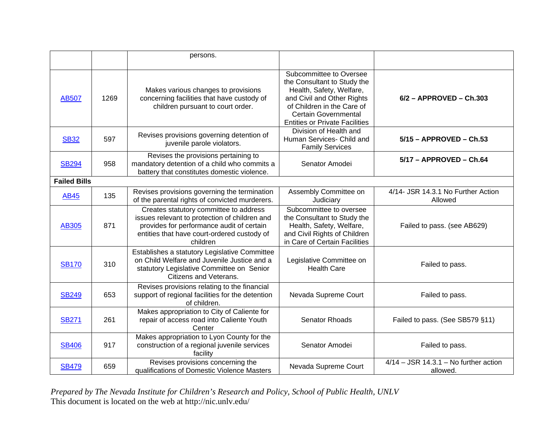|                     |      | persons.                                                                                                                                                                                        |                                                                                                                                                                                                                        |                                                     |
|---------------------|------|-------------------------------------------------------------------------------------------------------------------------------------------------------------------------------------------------|------------------------------------------------------------------------------------------------------------------------------------------------------------------------------------------------------------------------|-----------------------------------------------------|
| <b>AB507</b>        | 1269 | Makes various changes to provisions<br>concerning facilities that have custody of<br>children pursuant to court order.                                                                          | Subcommittee to Oversee<br>the Consultant to Study the<br>Health, Safety, Welfare,<br>and Civil and Other Rights<br>of Children in the Care of<br><b>Certain Governmental</b><br><b>Entities or Private Facilities</b> | $6/2$ - APPROVED - Ch.303                           |
| <b>SB32</b>         | 597  | Revises provisions governing detention of<br>juvenile parole violators.                                                                                                                         | Division of Health and<br>Human Services- Child and<br><b>Family Services</b>                                                                                                                                          | 5/15 - APPROVED - Ch.53                             |
| <b>SB294</b>        | 958  | Revises the provisions pertaining to<br>mandatory detention of a child who commits a<br>battery that constitutes domestic violence.                                                             | Senator Amodei                                                                                                                                                                                                         | 5/17 - APPROVED - Ch.64                             |
| <b>Failed Bills</b> |      |                                                                                                                                                                                                 |                                                                                                                                                                                                                        |                                                     |
| <b>AB45</b>         | 135  | Revises provisions governing the termination<br>of the parental rights of convicted murderers.                                                                                                  | Assembly Committee on<br>Judiciary                                                                                                                                                                                     | 4/14- JSR 14.3.1 No Further Action<br>Allowed       |
| AB305               | 871  | Creates statutory committee to address<br>issues relevant to protection of children and<br>provides for performance audit of certain<br>entities that have court-ordered custody of<br>children | Subcommittee to oversee<br>the Consultant to Study the<br>Health, Safety, Welfare,<br>and Civil Rights of Children<br>in Care of Certain Facilities                                                                    | Failed to pass. (see AB629)                         |
| <b>SB170</b>        | 310  | Establishes a statutory Legislative Committee<br>on Child Welfare and Juvenile Justice and a<br>statutory Legislative Committee on Senior<br>Citizens and Veterans.                             | Legislative Committee on<br><b>Health Care</b>                                                                                                                                                                         | Failed to pass.                                     |
| <b>SB249</b>        | 653  | Revises provisions relating to the financial<br>support of regional facilities for the detention<br>of children.                                                                                | Nevada Supreme Court                                                                                                                                                                                                   | Failed to pass.                                     |
| <b>SB271</b>        | 261  | Makes appropriation to City of Caliente for<br>repair of access road into Caliente Youth<br>Center                                                                                              | <b>Senator Rhoads</b>                                                                                                                                                                                                  | Failed to pass. (See SB579 §11)                     |
| <b>SB406</b>        | 917  | Makes appropriation to Lyon County for the<br>construction of a regional juvenile services<br>facility                                                                                          | Senator Amodei                                                                                                                                                                                                         | Failed to pass.                                     |
| <b>SB479</b>        | 659  | Revises provisions concerning the<br>qualifications of Domestic Violence Masters                                                                                                                | Nevada Supreme Court                                                                                                                                                                                                   | $4/14 - JSR$ 14.3.1 – No further action<br>allowed. |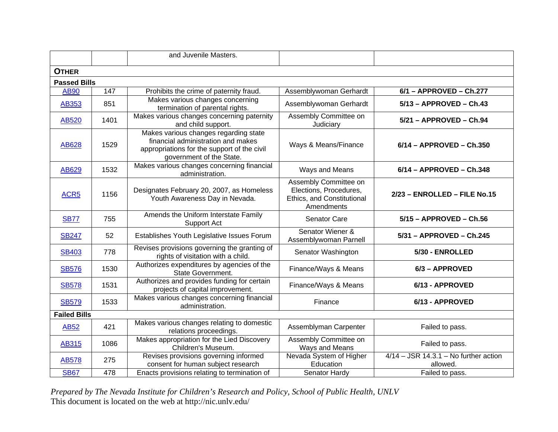|                     |      | and Juvenile Masters.                                                                                                                                  |                                                                                             |                                                     |
|---------------------|------|--------------------------------------------------------------------------------------------------------------------------------------------------------|---------------------------------------------------------------------------------------------|-----------------------------------------------------|
| <b>OTHER</b>        |      |                                                                                                                                                        |                                                                                             |                                                     |
| <b>Passed Bills</b> |      |                                                                                                                                                        |                                                                                             |                                                     |
| <b>AB90</b>         | 147  | Prohibits the crime of paternity fraud.                                                                                                                | Assemblywoman Gerhardt                                                                      | 6/1 - APPROVED - Ch.277                             |
| AB353               | 851  | Makes various changes concerning<br>termination of parental rights.                                                                                    | Assemblywoman Gerhardt                                                                      | $5/13$ - APPROVED - Ch.43                           |
| AB520               | 1401 | Makes various changes concerning paternity<br>and child support.                                                                                       | Assembly Committee on<br>Judiciary                                                          | $5/21 - APPROVED - Ch.94$                           |
| AB628               | 1529 | Makes various changes regarding state<br>financial administration and makes<br>appropriations for the support of the civil<br>government of the State. | Ways & Means/Finance                                                                        | 6/14 - APPROVED - Ch.350                            |
| AB629               | 1532 | Makes various changes concerning financial<br>administration.                                                                                          | Ways and Means                                                                              | 6/14 - APPROVED - Ch.348                            |
| ACR <sub>5</sub>    | 1156 | Designates February 20, 2007, as Homeless<br>Youth Awareness Day in Nevada.                                                                            | Assembly Committee on<br>Elections, Procedures,<br>Ethics, and Constitutional<br>Amendments | 2/23 - ENROLLED - FILE No.15                        |
| <b>SB77</b>         | 755  | Amends the Uniform Interstate Family<br><b>Support Act</b>                                                                                             | Senator Care                                                                                | $5/15 - APPROVED - Ch.56$                           |
| <b>SB247</b>        | 52   | Establishes Youth Legislative Issues Forum                                                                                                             | Senator Wiener &<br>Assemblywoman Parnell                                                   | 5/31 - APPROVED - Ch.245                            |
| <b>SB403</b>        | 778  | Revises provisions governing the granting of<br>rights of visitation with a child.                                                                     | Senator Washington                                                                          | 5/30 - ENROLLED                                     |
| <b>SB576</b>        | 1530 | Authorizes expenditures by agencies of the<br>State Government.                                                                                        | Finance/Ways & Means                                                                        | 6/3 - APPROVED                                      |
| <b>SB578</b>        | 1531 | Authorizes and provides funding for certain<br>projects of capital improvement.                                                                        | Finance/Ways & Means                                                                        | 6/13 - APPROVED                                     |
| <b>SB579</b>        | 1533 | Makes various changes concerning financial<br>administration.                                                                                          | Finance                                                                                     | 6/13 - APPROVED                                     |
| <b>Failed Bills</b> |      |                                                                                                                                                        |                                                                                             |                                                     |
| <b>AB52</b>         | 421  | Makes various changes relating to domestic<br>relations proceedings.                                                                                   | Assemblyman Carpenter                                                                       | Failed to pass.                                     |
| <b>AB315</b>        | 1086 | Makes appropriation for the Lied Discovery<br>Children's Museum.                                                                                       | Assembly Committee on<br>Ways and Means                                                     | Failed to pass.                                     |
| <b>AB578</b>        | 275  | Revises provisions governing informed<br>consent for human subject research                                                                            | Nevada System of Higher<br>Education                                                        | $4/14 - JSR$ 14.3.1 – No further action<br>allowed. |
| <b>SB67</b>         | 478  | Enacts provisions relating to termination of                                                                                                           | Senator Hardy                                                                               | Failed to pass.                                     |